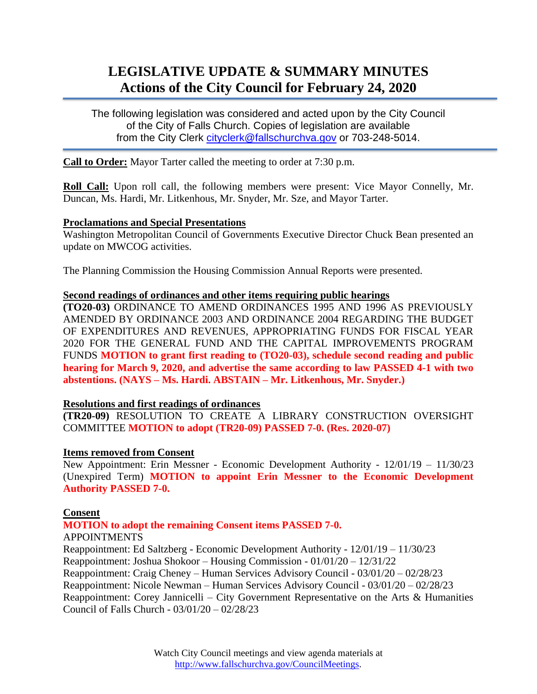# **LEGISLATIVE UPDATE & SUMMARY MINUTES Actions of the City Council for February 24, 2020**

The following legislation was considered and acted upon by the City Council of the City of Falls Church. Copies of legislation are available from the City Clerk [cityclerk@fallschurchva.gov](mailto:cityclerk@fallschurchva.gov) or 703-248-5014.

**Call to Order:** Mayor Tarter called the meeting to order at 7:30 p.m.

**Roll Call:** Upon roll call, the following members were present: Vice Mayor Connelly, Mr. Duncan, Ms. Hardi, Mr. Litkenhous, Mr. Snyder, Mr. Sze, and Mayor Tarter.

#### **Proclamations and Special Presentations**

Washington Metropolitan Council of Governments Executive Director Chuck Bean presented an update on MWCOG activities.

The Planning Commission the Housing Commission Annual Reports were presented.

#### **Second readings of ordinances and other items requiring public hearings**

**(TO20-03)** ORDINANCE TO AMEND ORDINANCES 1995 AND 1996 AS PREVIOUSLY AMENDED BY ORDINANCE 2003 AND ORDINANCE 2004 REGARDING THE BUDGET OF EXPENDITURES AND REVENUES, APPROPRIATING FUNDS FOR FISCAL YEAR 2020 FOR THE GENERAL FUND AND THE CAPITAL IMPROVEMENTS PROGRAM FUNDS **MOTION to grant first reading to (TO20-03), schedule second reading and public hearing for March 9, 2020, and advertise the same according to law PASSED 4-1 with two abstentions. (NAYS – Ms. Hardi. ABSTAIN – Mr. Litkenhous, Mr. Snyder.)**

## **Resolutions and first readings of ordinances**

**(TR20-09)** RESOLUTION TO CREATE A LIBRARY CONSTRUCTION OVERSIGHT COMMITTEE **MOTION to adopt (TR20-09) PASSED 7-0. (Res. 2020-07)**

## **Items removed from Consent**

New Appointment: Erin Messner - Economic Development Authority - 12/01/19 – 11/30/23 (Unexpired Term) **MOTION to appoint Erin Messner to the Economic Development Authority PASSED 7-0.**

#### **Consent**

## **MOTION to adopt the remaining Consent items PASSED 7-0.**

#### APPOINTMENTS

Reappointment: Ed Saltzberg - Economic Development Authority - 12/01/19 – 11/30/23 Reappointment: Joshua Shokoor – Housing Commission - 01/01/20 – 12/31/22 Reappointment: Craig Cheney – Human Services Advisory Council - 03/01/20 – 02/28/23 Reappointment: Nicole Newman – Human Services Advisory Council - 03/01/20 – 02/28/23 Reappointment: Corey Jannicelli – City Government Representative on the Arts & Humanities Council of Falls Church - 03/01/20 – 02/28/23